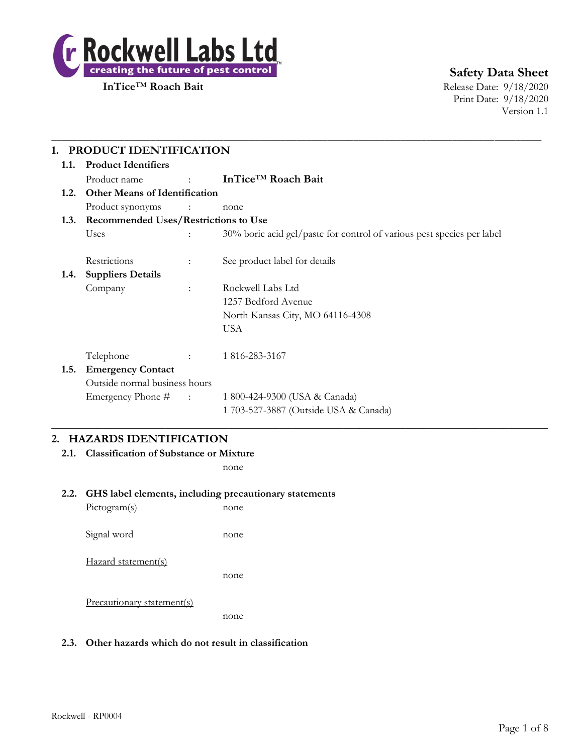

**InTice™ Roach Bait** Release Date: 9/18/2020 Print Date: 9/18/2020 Version 1.1

| <b>Product Identifiers</b><br>1.1.           |                                           |                                                                        |
|----------------------------------------------|-------------------------------------------|------------------------------------------------------------------------|
| Product name                                 | <b>Service State</b>                      | InTice <sup>™</sup> Roach Bait                                         |
| <b>Other Means of Identification</b><br>1.2. |                                           |                                                                        |
| Product synonyms                             | $\sim$ $\sim$ $\sim$ $\sim$ $\sim$ $\sim$ | none                                                                   |
| 1.3. Recommended Uses/Restrictions to Use    |                                           |                                                                        |
| Uses                                         |                                           | 30% boric acid gel/paste for control of various pest species per label |
| Restrictions                                 | $\ddot{\cdot}$                            | See product label for details                                          |
| <b>Suppliers Details</b><br>1.4.             |                                           |                                                                        |
| Company                                      | $\ddot{\phantom{a}}$                      | Rockwell Labs Ltd                                                      |
|                                              |                                           | 1257 Bedford Avenue                                                    |
|                                              |                                           | North Kansas City, MO 64116-4308                                       |
|                                              |                                           | <b>USA</b>                                                             |
| Telephone                                    | $\mathbb{R}^n$                            | 1816-283-3167                                                          |
| <b>Emergency Contact</b><br>1.5.             |                                           |                                                                        |
| Outside normal business hours                |                                           |                                                                        |
| Emergency Phone # :                          |                                           | 1 800-424-9300 (USA & Canada)                                          |
|                                              |                                           | 1 703-527-3887 (Outside USA & Canada)                                  |

# **2. HAZARDS IDENTIFICATION**

**2.1. Classification of Substance or Mixture**

none

#### **2.2. GHS label elements, including precautionary statements**

Pictogram(s) none Signal word none Hazard statement(s) none Precautionary statement(s) none

### **2.3. Other hazards which do not result in classification**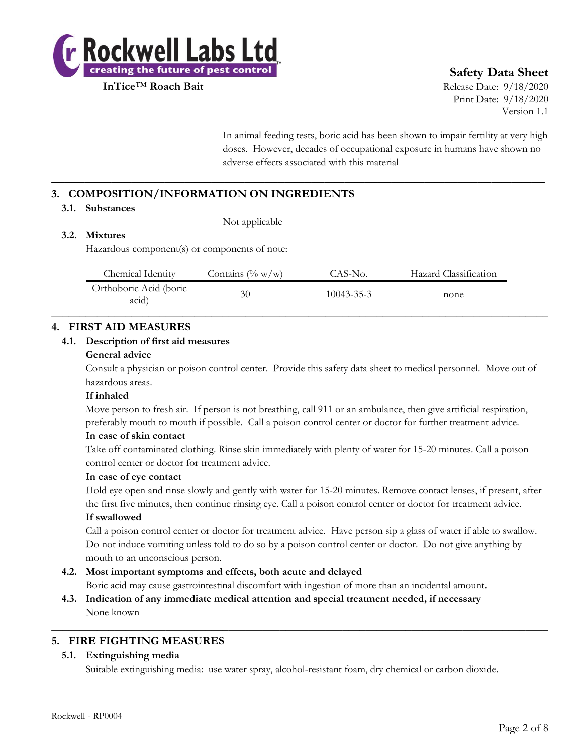

**InTice**™ **Roach Bait** Release Date: 9/18/2020 Print Date: 9/18/2020 Version 1.1

> In animal feeding tests, boric acid has been shown to impair fertility at very high doses. However, decades of occupational exposure in humans have shown no adverse effects associated with this material

# **3. COMPOSITION/INFORMATION ON INGREDIENTS**

### **3.1. Substances**

Not applicable

## **3.2. Mixtures**

Hazardous component(s) or components of note:

| Chemical Identity               | Contains $(\% w/w)$ | CAS-No.          | Hazard Classification |  |
|---------------------------------|---------------------|------------------|-----------------------|--|
| Orthoboric Acid (boric<br>acid) | 30                  | $10043 - 35 - 3$ | none                  |  |

**\_\_\_\_\_\_\_\_\_\_\_\_\_\_\_\_\_\_\_\_\_\_\_\_\_\_\_\_\_\_\_\_\_\_\_\_\_\_\_\_\_\_\_\_\_\_\_\_\_\_\_\_\_\_\_\_\_\_\_\_\_\_\_\_\_\_\_\_\_\_\_\_\_\_**

### **4. FIRST AID MEASURES**

### **4.1. Description of first aid measures**

#### **General advice**

Consult a physician or poison control center. Provide this safety data sheet to medical personnel. Move out of hazardous areas.

#### **If inhaled**

Move person to fresh air. If person is not breathing, call 911 or an ambulance, then give artificial respiration, preferably mouth to mouth if possible. Call a poison control center or doctor for further treatment advice.

### **In case of skin contact**

Take off contaminated clothing. Rinse skin immediately with plenty of water for 15-20 minutes. Call a poison control center or doctor for treatment advice.

#### **In case of eye contact**

Hold eye open and rinse slowly and gently with water for 15-20 minutes. Remove contact lenses, if present, after the first five minutes, then continue rinsing eye. Call a poison control center or doctor for treatment advice.

### **If swallowed**

Call a poison control center or doctor for treatment advice. Have person sip a glass of water if able to swallow. Do not induce vomiting unless told to do so by a poison control center or doctor. Do not give anything by mouth to an unconscious person.

### **4.2. Most important symptoms and effects, both acute and delayed**

Boric acid may cause gastrointestinal discomfort with ingestion of more than an incidental amount.

 $\_$  , and the set of the set of the set of the set of the set of the set of the set of the set of the set of the set of the set of the set of the set of the set of the set of the set of the set of the set of the set of th

**4.3. Indication of any immediate medical attention and special treatment needed, if necessary** None known

# **5. FIRE FIGHTING MEASURES**

### **5.1. Extinguishing media**

Suitable extinguishing media: use water spray, alcohol-resistant foam, dry chemical or carbon dioxide.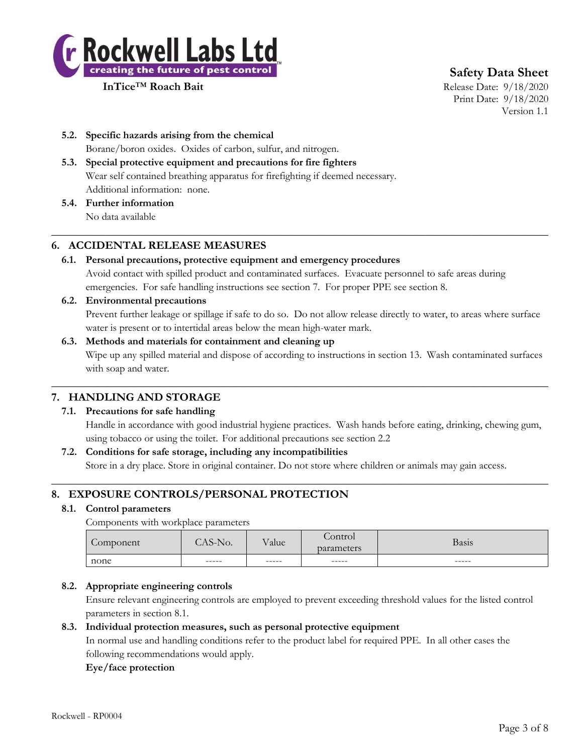

**InTice**™ **Roach Bait** Release Date: 9/18/2020 Print Date: 9/18/2020 Version 1.1

- **5.2. Specific hazards arising from the chemical** Borane/boron oxides. Oxides of carbon, sulfur, and nitrogen.
- **5.3. Special protective equipment and precautions for fire fighters** Wear self contained breathing apparatus for firefighting if deemed necessary. Additional information: none.
- **5.4. Further information** No data available

# **6. ACCIDENTAL RELEASE MEASURES**

**6.1. Personal precautions, protective equipment and emergency procedures** Avoid contact with spilled product and contaminated surfaces. Evacuate personnel to safe areas during emergencies. For safe handling instructions see section 7. For proper PPE see section 8.

 $\_$  , and the set of the set of the set of the set of the set of the set of the set of the set of the set of the set of the set of the set of the set of the set of the set of the set of the set of the set of the set of th

**6.2. Environmental precautions**

Prevent further leakage or spillage if safe to do so. Do not allow release directly to water, to areas where surface water is present or to intertidal areas below the mean high-water mark.

## **6.3. Methods and materials for containment and cleaning up** Wipe up any spilled material and dispose of according to instructions in section 13. Wash contaminated surfaces with soap and water.

 $\_$  , and the set of the set of the set of the set of the set of the set of the set of the set of the set of the set of the set of the set of the set of the set of the set of the set of the set of the set of the set of th

# **7. HANDLING AND STORAGE**

### **7.1. Precautions for safe handling**

Handle in accordance with good industrial hygiene practices. Wash hands before eating, drinking, chewing gum, using tobacco or using the toilet. For additional precautions see section 2.2

### **7.2. Conditions for safe storage, including any incompatibilities**

Store in a dry place. Store in original container. Do not store where children or animals may gain access.  $\_$  , and the set of the set of the set of the set of the set of the set of the set of the set of the set of the set of the set of the set of the set of the set of the set of the set of the set of the set of the set of th

# **8. EXPOSURE CONTROLS/PERSONAL PROTECTION**

### **8.1. Control parameters**

Components with workplace parameters

| Component | $^{\circ}$ AS-No. | Value | Control<br>parameters | Basis |
|-----------|-------------------|-------|-----------------------|-------|
| none      | ------            | ----- | ------                | ----- |

### **8.2. Appropriate engineering controls**

Ensure relevant engineering controls are employed to prevent exceeding threshold values for the listed control parameters in section 8.1.

### **8.3. Individual protection measures, such as personal protective equipment**

In normal use and handling conditions refer to the product label for required PPE. In all other cases the following recommendations would apply.

### **Eye/face protection**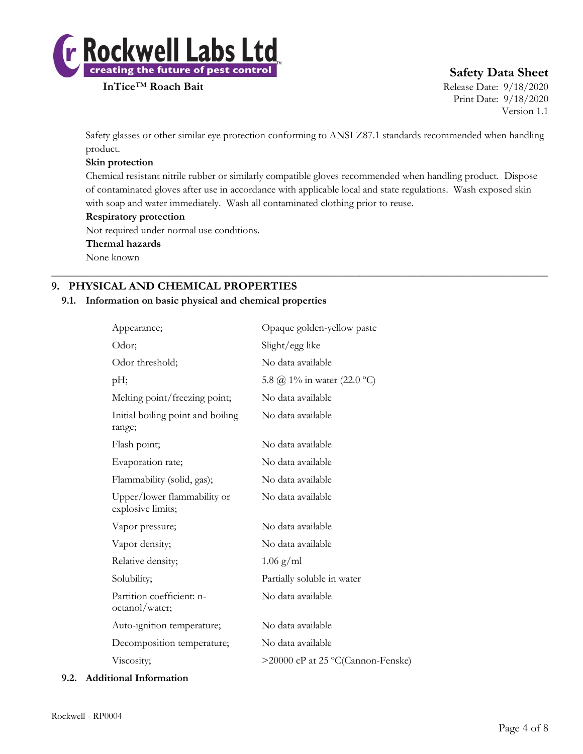

**InTice™ Roach Bait** Release Date: 9/18/2020 Print Date: 9/18/2020 Version 1.1

Safety glasses or other similar eye protection conforming to ANSI Z87.1 standards recommended when handling product.

### **Skin protection**

Chemical resistant nitrile rubber or similarly compatible gloves recommended when handling product. Dispose of contaminated gloves after use in accordance with applicable local and state regulations. Wash exposed skin with soap and water immediately. Wash all contaminated clothing prior to reuse.

 $\_$  , and the set of the set of the set of the set of the set of the set of the set of the set of the set of the set of the set of the set of the set of the set of the set of the set of the set of the set of the set of th

### **Respiratory protection**

Not required under normal use conditions.

### **Thermal hazards**

None known

# **9. PHYSICAL AND CHEMICAL PROPERTIES**

### **9.1. Information on basic physical and chemical properties**

| Appearance;                                      | Opaque golden-yellow paste        |
|--------------------------------------------------|-----------------------------------|
| Odor;                                            | Slight/egg like                   |
| Odor threshold;                                  | No data available                 |
| pH;                                              | 5.8 @ 1% in water (22.0 °C)       |
| Melting point/freezing point;                    | No data available                 |
| Initial boiling point and boiling<br>range;      | No data available                 |
| Flash point;                                     | No data available                 |
| Evaporation rate;                                | No data available                 |
| Flammability (solid, gas);                       | No data available                 |
| Upper/lower flammability or<br>explosive limits; | No data available                 |
| Vapor pressure;                                  | No data available                 |
| Vapor density;                                   | No data available                 |
| Relative density;                                | $1.06$ g/ml                       |
| Solubility;                                      | Partially soluble in water        |
| Partition coefficient: n-<br>octanol/water;      | No data available                 |
| Auto-ignition temperature;                       | No data available                 |
| Decomposition temperature;                       | No data available                 |
| Viscosity;                                       | >20000 cP at 25 °C(Cannon-Fenske) |

#### **9.2. Additional Information**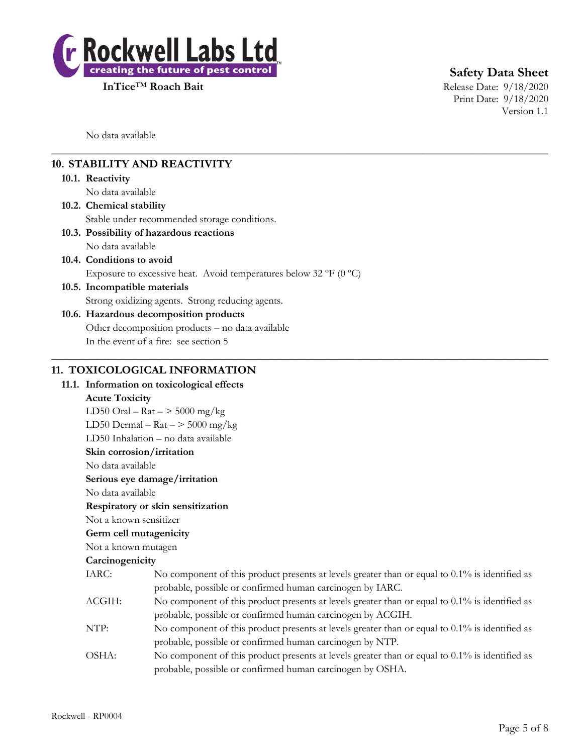

**InTice™ Roach Bait** Release Date: 9/18/2020

**Safety Data Sheet**

Print Date: 9/18/2020 Version 1.1

No data available

# **10. STABILITY AND REACTIVITY**

#### **10.1. Reactivity**

No data available

**10.2. Chemical stability**

Stable under recommended storage conditions.

- **10.3. Possibility of hazardous reactions**
- No data available
- **10.4. Conditions to avoid** Exposure to excessive heat. Avoid temperatures below 32  $\rm{P}F$  (0  $\rm{^{\circ}C})$
- **10.5. Incompatible materials** Strong oxidizing agents. Strong reducing agents.

# **10.6. Hazardous decomposition products**

Other decomposition products – no data available In the event of a fire: see section 5

### **11. TOXICOLOGICAL INFORMATION**

#### **11.1. Information on toxicological effects**

### **Acute Toxicity**

LD50 Oral –  $\text{Rat}$  –  $>$  5000 mg/kg

LD50 Dermal –  $\text{Rat}$  –  $>$  5000 mg/kg

LD50 Inhalation – no data available

**Skin corrosion/irritation**

No data available

### **Serious eye damage/irritation**

No data available

#### **Respiratory or skin sensitization**

Not a known sensitizer

### **Germ cell mutagenicity**

# Not a known mutagen

### **Carcinogenicity**

| IARC:  | No component of this product presents at levels greater than or equal to $0.1\%$ is identified as |
|--------|---------------------------------------------------------------------------------------------------|
|        | probable, possible or confirmed human carcinogen by IARC.                                         |
| ACGIH: | No component of this product presents at levels greater than or equal to $0.1\%$ is identified as |
|        | probable, possible or confirmed human carcinogen by ACGIH.                                        |
| NTP:   | No component of this product presents at levels greater than or equal to $0.1\%$ is identified as |
|        | probable, possible or confirmed human carcinogen by NTP.                                          |
| OSHA:  | No component of this product presents at levels greater than or equal to $0.1\%$ is identified as |
|        | probable, possible or confirmed human carcinogen by OSHA.                                         |

 $\_$  , and the set of the set of the set of the set of the set of the set of the set of the set of the set of the set of the set of the set of the set of the set of the set of the set of the set of the set of the set of th

 $\_$  , and the set of the set of the set of the set of the set of the set of the set of the set of the set of the set of the set of the set of the set of the set of the set of the set of the set of the set of the set of th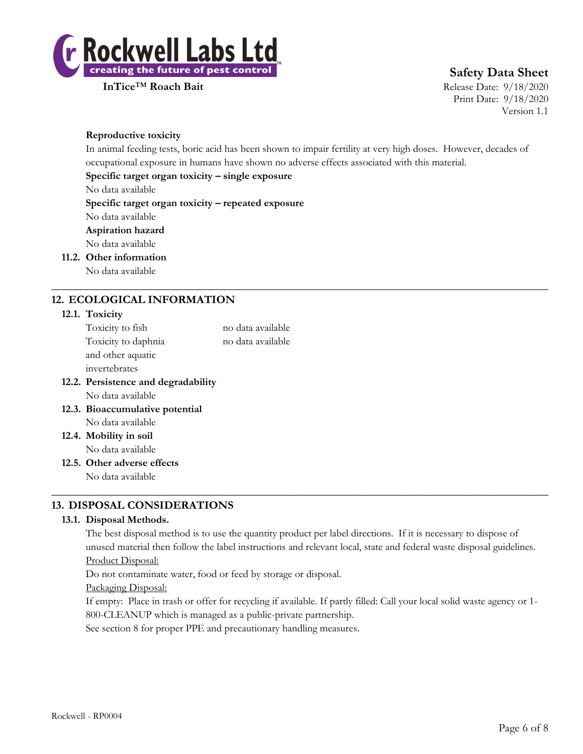

**InTice**™ **Roach Bait** Release Date: 9/18/2020 Print Date: 9/18/2020 Version 1.1

### **Reproductive toxicity**

In animal feeding tests, boric acid has been shown to impair fertility at very high doses. However, decades of occupational exposure in humans have shown no adverse effects associated with this material.

 $\_$  , and the set of the set of the set of the set of the set of the set of the set of the set of the set of the set of the set of the set of the set of the set of the set of the set of the set of the set of the set of th

### **Specific target organ toxicity – single exposure**

No data available

**Specific target organ toxicity – repeated exposure**

No data available

# **Aspiration hazard**

No data available

**11.2. Other information**

No data available

# **12. ECOLOGICAL INFORMATION**

### **12.1. Toxicity**

| 12.2. Persistence and degradability |                   |
|-------------------------------------|-------------------|
| invertebrates                       |                   |
| and other aquatic                   |                   |
| Toxicity to daphnia                 | no data available |
| Toxicity to fish                    | no data available |
|                                     |                   |

No data available

**12.3. Bioaccumulative potential** No data available

**12.4. Mobility in soil** No data available

**12.5. Other adverse effects**

No data available

# **13. DISPOSAL CONSIDERATIONS**

### **13.1. Disposal Methods.**

The best disposal method is to use the quantity product per label directions. If it is necessary to dispose of unused material then follow the label instructions and relevant local, state and federal waste disposal guidelines. Product Disposal:

 $\_$  , and the set of the set of the set of the set of the set of the set of the set of the set of the set of the set of the set of the set of the set of the set of the set of the set of the set of the set of the set of th

Do not contaminate water, food or feed by storage or disposal.

Packaging Disposal:

If empty: Place in trash or offer for recycling if available. If partly filled: Call your local solid waste agency or 1- 800-CLEANUP which is managed as a public-private partnership.

See section 8 for proper PPE and precautionary handling measures.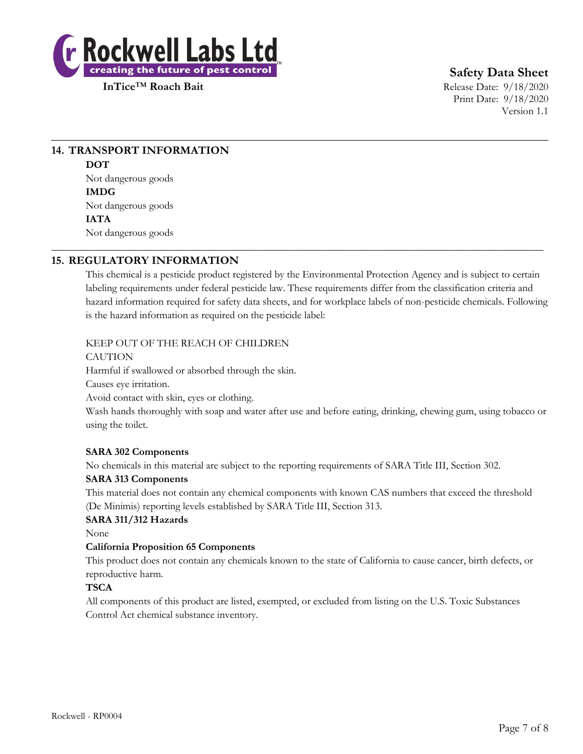

**InTice**™ **Roach Bait** Release Date: 9/18/2020 Print Date: 9/18/2020 Version 1.1

# **14. TRANSPORT INFORMATION DOT** Not dangerous goods **IMDG** Not dangerous goods

**IATA** Not dangerous goods

# **15. REGULATORY INFORMATION**

This chemical is a pesticide product registered by the Environmental Protection Agency and is subject to certain labeling requirements under federal pesticide law. These requirements differ from the classification criteria and hazard information required for safety data sheets, and for workplace labels of non-pesticide chemicals. Following is the hazard information as required on the pesticide label:

 $\_$  , and the set of the set of the set of the set of the set of the set of the set of the set of the set of the set of the set of the set of the set of the set of the set of the set of the set of the set of the set of th

\_\_\_\_\_\_\_\_\_\_\_\_\_\_\_\_\_\_\_\_\_\_\_\_\_\_\_\_\_\_\_\_\_\_\_\_\_\_\_\_\_\_\_\_\_\_\_\_\_\_\_\_\_\_\_\_\_\_\_\_\_\_\_\_\_\_\_\_\_\_\_\_\_\_\_\_\_\_\_\_\_\_\_\_\_\_\_\_\_\_\_\_\_\_

## KEEP OUT OF THE REACH OF CHILDREN

CAUTION

Harmful if swallowed or absorbed through the skin.

Causes eye irritation.

Avoid contact with skin, eyes or clothing.

Wash hands thoroughly with soap and water after use and before eating, drinking, chewing gum, using tobacco or using the toilet.

### **SARA 302 Components**

No chemicals in this material are subject to the reporting requirements of SARA Title III, Section 302.

### **SARA 313 Components**

This material does not contain any chemical components with known CAS numbers that exceed the threshold (De Minimis) reporting levels established by SARA Title III, Section 313.

# **SARA 311/312 Hazards**

None

### **California Proposition 65 Components**

This product does not contain any chemicals known to the state of California to cause cancer, birth defects, or reproductive harm.

## **TSCA**

All components of this product are listed, exempted, or excluded from listing on the U.S. Toxic Substances Control Act chemical substance inventory.